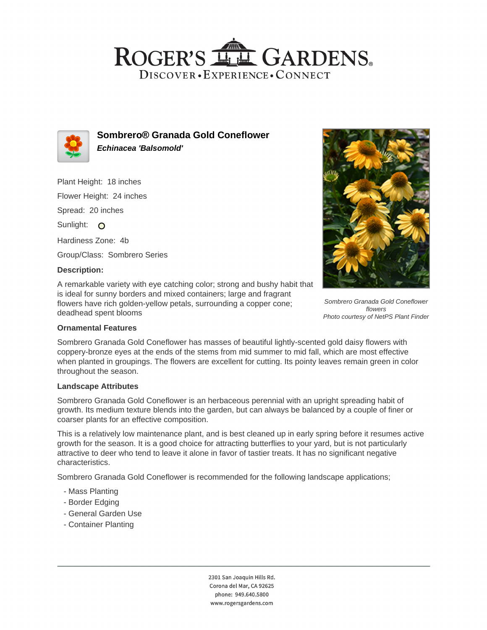## ROGER'S LL GARDENS. DISCOVER · EXPERIENCE · CONNECT



**Sombrero® Granada Gold Coneflower Echinacea 'Balsomold'**

Plant Height: 18 inches Flower Height: 24 inches Spread: 20 inches Sunlight: O Hardiness Zone: 4b Group/Class: Sombrero Series

## **Description:**

A remarkable variety with eye catching color; strong and bushy habit that is ideal for sunny borders and mixed containers; large and fragrant flowers have rich golden-yellow petals, surrounding a copper cone; deadhead spent blooms



Sombrero Granada Gold Coneflower flowers Photo courtesy of NetPS Plant Finder

## **Ornamental Features**

Sombrero Granada Gold Coneflower has masses of beautiful lightly-scented gold daisy flowers with coppery-bronze eyes at the ends of the stems from mid summer to mid fall, which are most effective when planted in groupings. The flowers are excellent for cutting. Its pointy leaves remain green in color throughout the season.

#### **Landscape Attributes**

Sombrero Granada Gold Coneflower is an herbaceous perennial with an upright spreading habit of growth. Its medium texture blends into the garden, but can always be balanced by a couple of finer or coarser plants for an effective composition.

This is a relatively low maintenance plant, and is best cleaned up in early spring before it resumes active growth for the season. It is a good choice for attracting butterflies to your yard, but is not particularly attractive to deer who tend to leave it alone in favor of tastier treats. It has no significant negative characteristics.

Sombrero Granada Gold Coneflower is recommended for the following landscape applications;

- Mass Planting
- Border Edging
- General Garden Use
- Container Planting

2301 San Joaquin Hills Rd. Corona del Mar, CA 92625 phone: 949.640.5800 www.rogersgardens.com